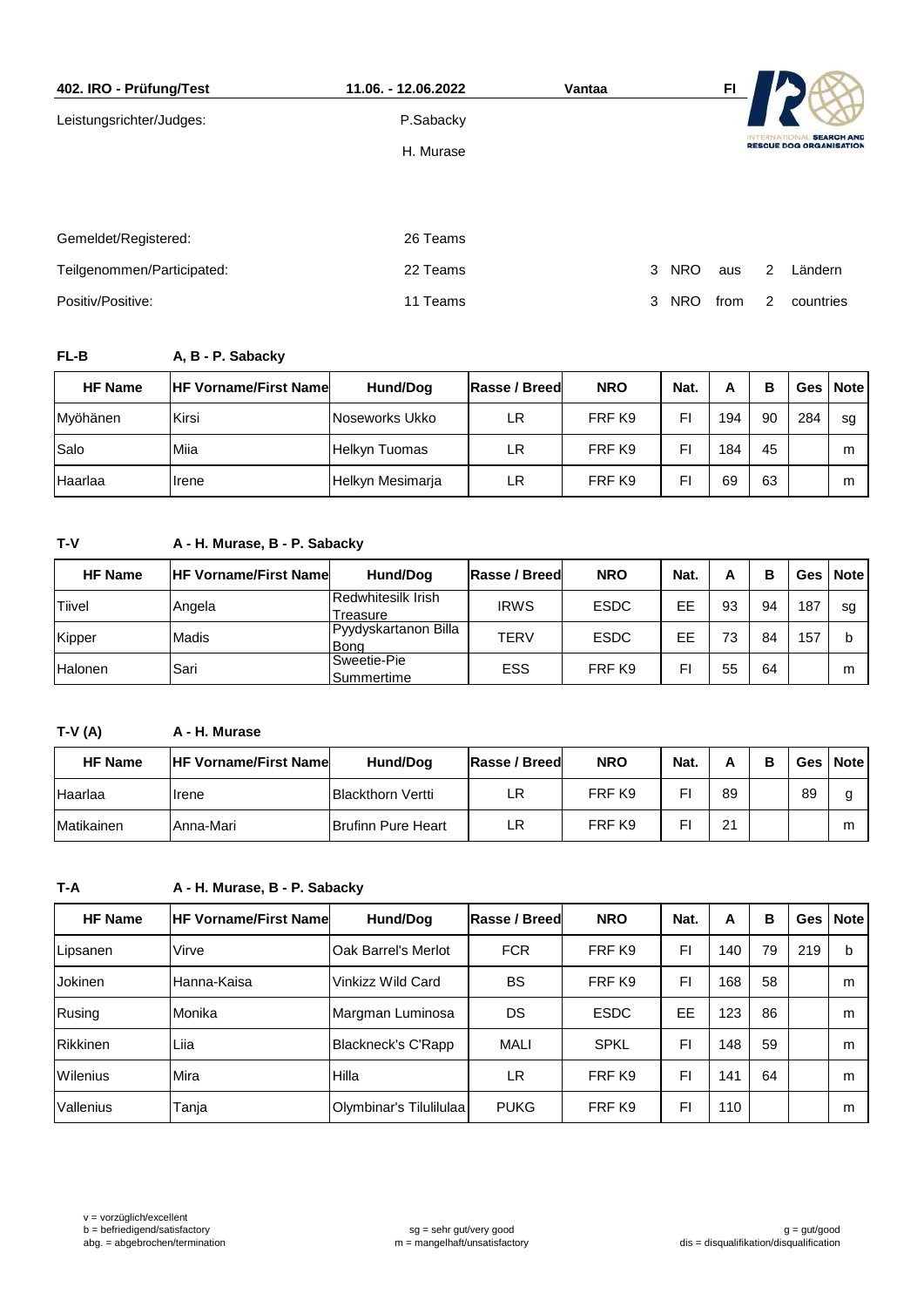| 402. IRO - Prüfung/Test    | 11.06. - 12.06.2022 | Vantaa | FI                 |                                                                       |
|----------------------------|---------------------|--------|--------------------|-----------------------------------------------------------------------|
| Leistungsrichter/Judges:   | P.Sabacky           |        |                    |                                                                       |
|                            | H. Murase           |        |                    | <b>SEARCH AND</b><br><b>NTERNAT</b><br><b>RESCUE DOG ORGANISATION</b> |
|                            |                     |        |                    |                                                                       |
|                            |                     |        |                    |                                                                       |
| Gemeldet/Registered:       | 26 Teams            |        |                    |                                                                       |
| Teilgenommen/Participated: | 22 Teams            | 3      | <b>NRO</b><br>aus  | Ländern<br>2                                                          |
| Positiv/Positive:          | 11 Teams            | 3      | <b>NRO</b><br>from | $\mathcal{P}$<br>countries                                            |
|                            |                     |        |                    |                                                                       |

## **FL-B A, B - P. Sabacky**

| <b>HF Name</b> | <b>HF Vorname/First Name</b> | Hund/Dog         | Rasse / Breed | <b>NRO</b> | Nat. | А   | в  |     | Ges   Note |
|----------------|------------------------------|------------------|---------------|------------|------|-----|----|-----|------------|
| Myöhänen       | Kirsi                        | Noseworks Ukko   | LR            | FRF K9     | FI   | 194 | 90 | 284 | sg         |
| Salo           | Miia                         | Helkyn Tuomas    | LR            | FRF K9     | FI   | 184 | 45 |     | m          |
| Haarlaa        | <b>I</b> rene                | Helkyn Mesimaria | LR            | FRF K9     | Е    | 69  | 63 |     | m          |

# **T-V A - H. Murase, B - P. Sabacky**

| <b>HF Name</b> | <b>IHF Vorname/First Namel</b> | Hund/Dog                       | Rasse / Breed | <b>NRO</b>  | Nat. | А  | в  |     | Ges   Note |
|----------------|--------------------------------|--------------------------------|---------------|-------------|------|----|----|-----|------------|
| Tiivel         | Angela                         | Redwhitesilk Irish<br>Treasure | <b>IRWS</b>   | <b>ESDC</b> | EЕ   | 93 | 94 | 187 | sg         |
| Kipper         | Madis                          | Pyydyskartanon Billa<br>Bona   | TERV          | <b>ESDC</b> | EЕ   | 73 | 84 | 157 | b          |
| <b>Halonen</b> | Sari                           | Sweetie-Pie<br>Summertime      | ESS           | FRF K9      | Е    | 55 | 64 |     | m          |

## **T-V (A) A - H. Murase**

| <b>HF Name</b> | <b>IHF Vorname/First Namel</b> | Hund/Dog                  | Rasse / Breed | <b>NRO</b> | Nat. |    | в |    | Ges   Note |
|----------------|--------------------------------|---------------------------|---------------|------------|------|----|---|----|------------|
| Haarlaa        | Irene                          | <b>Blackthorn Vertti</b>  | LR            | FRF K9     |      | 89 |   | 89 |            |
| Matikainen     | Anna-Mari                      | <b>Brufinn Pure Heart</b> | LR            | FRF K9     | е    | 21 |   |    | m          |

### **T-A A - H. Murase, B - P. Sabacky**

| <b>HF Name</b>  | <b>HF Vorname/First Name</b> | Hund/Dog                  | Rasse / Breed | <b>NRO</b>  | Nat. | А   | в  | Ges l | <b>Note</b> |
|-----------------|------------------------------|---------------------------|---------------|-------------|------|-----|----|-------|-------------|
| Lipsanen        | Virve                        | Oak Barrel's Merlot       | <b>FCR</b>    | FRF K9      | FI   | 140 | 79 | 219   | b           |
| Jokinen         | Hanna-Kaisa                  | Vinkizz Wild Card         | BS            | FRF K9      | FI   | 168 | 58 |       | m           |
| Rusing          | Monika                       | Margman Luminosa          | DS            | <b>ESDC</b> | EE.  | 123 | 86 |       | m           |
| <b>Rikkinen</b> | Liia                         | <b>Blackneck's C'Rapp</b> | <b>MALI</b>   | <b>SPKL</b> | FI   | 148 | 59 |       | m           |
| <b>Wilenius</b> | Mira                         | Hilla                     | LR            | FRF K9      | FI   | 141 | 64 |       | m           |
| Vallenius       | Tanja                        | Olymbinar's Tilulilulaa   | <b>PUKG</b>   | FRF K9      | FI   | 110 |    |       | m           |